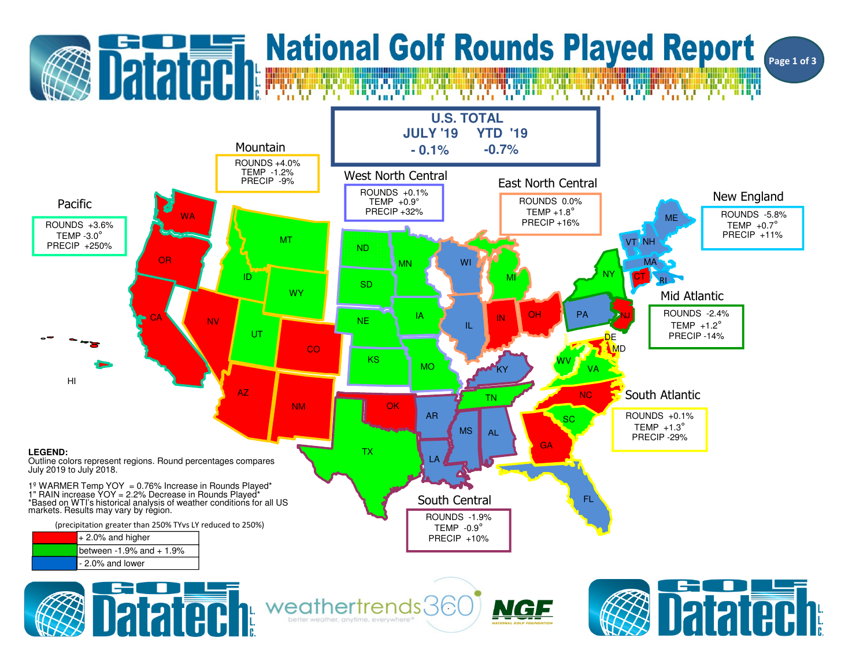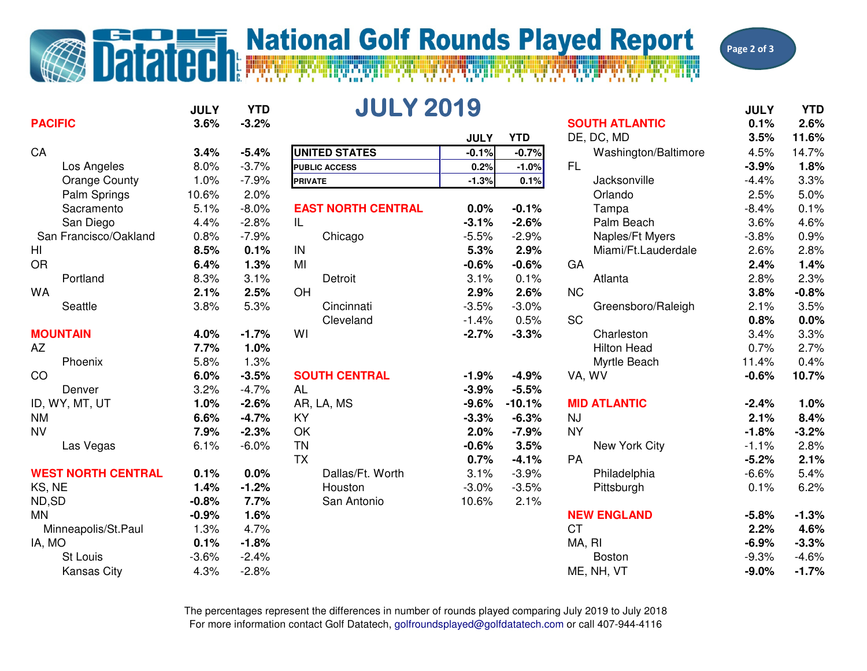## **Datatech National Golf Rounds Played Report**

Page 2 of 3

| <b>PACIFIC</b>            | <b>JULY</b><br>3.6% | <b>YTD</b><br>$-3.2%$ | <b>JULY 2019</b>          |             |            | <b>SOUTH ATLANTIC</b> | <b>JULY</b><br>0.1% | <b>YTD</b><br>2.6% |
|---------------------------|---------------------|-----------------------|---------------------------|-------------|------------|-----------------------|---------------------|--------------------|
|                           |                     |                       |                           | <b>JULY</b> | <b>YTD</b> | DE, DC, MD            | 3.5%                | 11.6%              |
| CA                        | 3.4%                | $-5.4%$               | <b>UNITED STATES</b>      | $-0.1%$     | $-0.7%$    | Washington/Baltimore  | 4.5%                | 14.7%              |
| Los Angeles               | 8.0%                | $-3.7%$               | <b>PUBLIC ACCESS</b>      | 0.2%        | $-1.0%$    | <b>FL</b>             | $-3.9%$             | 1.8%               |
| <b>Orange County</b>      | 1.0%                | $-7.9%$               | <b>PRIVATE</b>            | $-1.3%$     | 0.1%       | Jacksonville          | $-4.4%$             | 3.3%               |
| Palm Springs              | 10.6%               | 2.0%                  |                           |             |            | Orlando               | 2.5%                | 5.0%               |
| Sacramento                | 5.1%                | $-8.0%$               | <b>EAST NORTH CENTRAL</b> | 0.0%        | $-0.1%$    | Tampa                 | $-8.4%$             | 0.1%               |
| San Diego                 | 4.4%                | $-2.8%$               | IL                        | $-3.1%$     | $-2.6%$    | Palm Beach            | 3.6%                | 4.6%               |
| San Francisco/Oakland     | 0.8%                | $-7.9%$               | Chicago                   | $-5.5%$     | $-2.9%$    | Naples/Ft Myers       | $-3.8%$             | 0.9%               |
| HI                        | 8.5%                | 0.1%                  | IN                        | 5.3%        | 2.9%       | Miami/Ft.Lauderdale   | 2.6%                | 2.8%               |
| <b>OR</b>                 | 6.4%                | 1.3%                  | MI                        | $-0.6%$     | $-0.6%$    | GA                    | 2.4%                | 1.4%               |
| Portland                  | 8.3%                | 3.1%                  | Detroit                   | 3.1%        | 0.1%       | Atlanta               | 2.8%                | 2.3%               |
| <b>WA</b>                 | 2.1%                | 2.5%                  | OH                        | 2.9%        | 2.6%       | <b>NC</b>             | 3.8%                | $-0.8%$            |
| Seattle                   | 3.8%                | 5.3%                  | Cincinnati                | $-3.5%$     | $-3.0%$    | Greensboro/Raleigh    | 2.1%                | 3.5%               |
|                           |                     |                       | Cleveland                 | $-1.4%$     | 0.5%       | <b>SC</b>             | 0.8%                | 0.0%               |
| <b>MOUNTAIN</b>           | 4.0%                | $-1.7%$               | WI                        | $-2.7%$     | $-3.3%$    | Charleston            | 3.4%                | 3.3%               |
| <b>AZ</b>                 | 7.7%                | 1.0%                  |                           |             |            | <b>Hilton Head</b>    | 0.7%                | 2.7%               |
| Phoenix                   | 5.8%                | 1.3%                  |                           |             |            | Myrtle Beach          | 11.4%               | 0.4%               |
| CO                        | 6.0%                | $-3.5%$               | <b>SOUTH CENTRAL</b>      | $-1.9%$     | $-4.9%$    | VA, WV                | $-0.6%$             | 10.7%              |
| Denver                    | 3.2%                | $-4.7%$               | <b>AL</b>                 | $-3.9%$     | $-5.5%$    |                       |                     |                    |
| ID, WY, MT, UT            | 1.0%                | $-2.6%$               | AR, LA, MS                | $-9.6%$     | $-10.1%$   | <b>MID ATLANTIC</b>   | $-2.4%$             | 1.0%               |
| <b>NM</b>                 | 6.6%                | $-4.7%$               | <b>KY</b>                 | $-3.3%$     | $-6.3%$    | <b>NJ</b>             | 2.1%                | 8.4%               |
| <b>NV</b>                 | 7.9%                | $-2.3%$               | OK                        | 2.0%        | $-7.9%$    | <b>NY</b>             | $-1.8%$             | $-3.2%$            |
| Las Vegas                 | 6.1%                | $-6.0%$               | <b>TN</b>                 | $-0.6%$     | 3.5%       | New York City         | $-1.1%$             | 2.8%               |
|                           |                     |                       | <b>TX</b>                 | 0.7%        | $-4.1%$    | PA                    | $-5.2%$             | 2.1%               |
| <b>WEST NORTH CENTRAL</b> | 0.1%                | 0.0%                  | Dallas/Ft. Worth          | 3.1%        | $-3.9%$    | Philadelphia          | $-6.6%$             | 5.4%               |
| KS, NE                    | 1.4%                | $-1.2%$               | Houston                   | $-3.0%$     | $-3.5%$    | Pittsburgh            | 0.1%                | 6.2%               |
| ND,SD                     | $-0.8%$             | 7.7%                  | San Antonio               | 10.6%       | 2.1%       |                       |                     |                    |
| <b>MN</b>                 | $-0.9%$             | 1.6%                  |                           |             |            | <b>NEW ENGLAND</b>    | $-5.8%$             | $-1.3%$            |
| Minneapolis/St.Paul       | 1.3%                | 4.7%                  |                           |             |            | <b>CT</b>             | 2.2%                | 4.6%               |
| IA, MO                    | 0.1%                | $-1.8%$               |                           |             |            | MA, RI                | $-6.9%$             | $-3.3%$            |
| St Louis                  | $-3.6%$             | $-2.4%$               |                           |             |            | <b>Boston</b>         | $-9.3%$             | $-4.6%$            |
| <b>Kansas City</b>        | 4.3%                | $-2.8%$               |                           |             |            | ME, NH, VT            | $-9.0%$             | $-1.7%$            |
|                           |                     |                       |                           |             |            |                       |                     |                    |

For more information contact Golf Datatech, golfroundsplayed@golfdatatech.com or call 407-944-4116 The percentages represent the differences in number of rounds played comparing July 2019 to July 2018